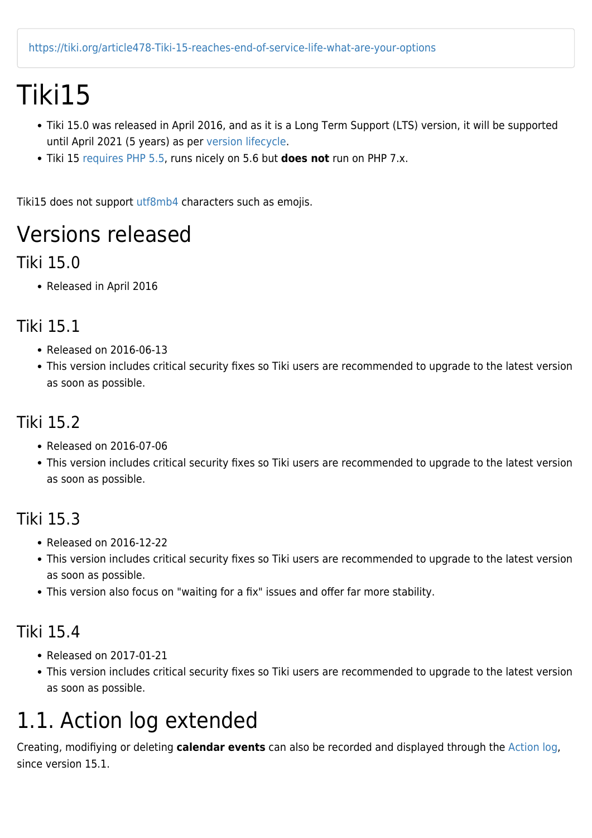## Tiki15

- Tiki 15.0 was released in April 2016, and as it is a Long Term Support (LTS) version, it will be supported until April 2021 (5 years) as per [version lifecycle.](http://info.tiki.org/version%20lifecycle)
- Tiki 15 [requires PHP 5.5](https://doc.tiki.org/krav), runs nicely on 5.6 but **does not** run on PHP 7.x.

Tiki15 does not support [utf8mb4](http://dev.tiki.org/utf8mb4) characters such as emojis.

### Versions released

#### Tiki 15.0

Released in April 2016

#### Tiki 15.1

- Released on 2016-06-13
- This version includes critical security fixes so Tiki users are recommended to upgrade to the latest version as soon as possible.

#### Tiki 15.2

- Released on 2016-07-06
- This version includes critical security fixes so Tiki users are recommended to upgrade to the latest version as soon as possible.

#### Tiki 15.3

- Released on 2016-12-22
- This version includes critical security fixes so Tiki users are recommended to upgrade to the latest version as soon as possible.
- This version also focus on "waiting for a fix" issues and offer far more stability.

#### Tiki 15.4

- Released on 2017-01-21
- This version includes critical security fixes so Tiki users are recommended to upgrade to the latest version as soon as possible.

### 1.1. Action log extended

Creating, modifiying or deleting **calendar events** can also be recorded and displayed through the [Action log,](https://doc.tiki.org/Action%20log) since version 15.1.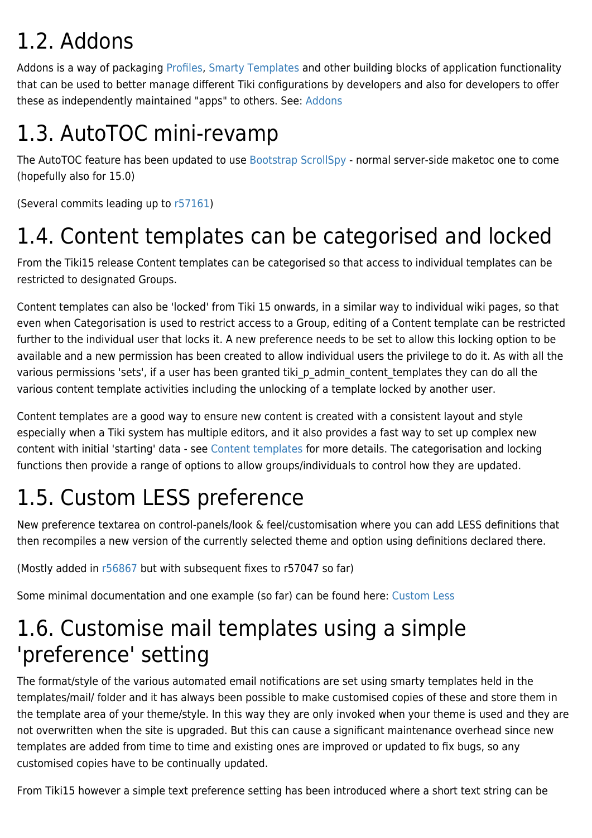## 1.2. Addons

Addons is a way of packaging [Profiles,](https://doc.tiki.org/Profiles) [Smarty Templates](https://doc.tiki.org/Smarty-Templates) and other building blocks of application functionality that can be used to better manage different Tiki configurations by developers and also for developers to offer these as independently maintained "apps" to others. See: [Addons](https://doc.tiki.org/Addons)

## 1.3. AutoTOC mini-revamp

The AutoTOC feature has been updated to use [Bootstrap ScrollSpy](http://getbootstrap.com/javascript/#scrollspy) - normal server-side maketoc one to come (hopefully also for 15.0)

(Several commits leading up to [r57161\)](http://sourceforge.net/p/tikiwiki/code/57161)

## 1.4. Content templates can be categorised and locked

From the Tiki15 release Content templates can be categorised so that access to individual templates can be restricted to designated Groups.

Content templates can also be 'locked' from Tiki 15 onwards, in a similar way to individual wiki pages, so that even when Categorisation is used to restrict access to a Group, editing of a Content template can be restricted further to the individual user that locks it. A new preference needs to be set to allow this locking option to be available and a new permission has been created to allow individual users the privilege to do it. As with all the various permissions 'sets', if a user has been granted tiki p admin content templates they can do all the various content template activities including the unlocking of a template locked by another user.

Content templates are a good way to ensure new content is created with a consistent layout and style especially when a Tiki system has multiple editors, and it also provides a fast way to set up complex new content with initial 'starting' data - see [Content templates](https://doc.tiki.org/Content-Templates) for more details. The categorisation and locking functions then provide a range of options to allow groups/individuals to control how they are updated.

## 1.5. Custom LESS preference

New preference textarea on control-panels/look & feel/customisation where you can add LESS definitions that then recompiles a new version of the currently selected theme and option using definitions declared there.

(Mostly added in [r56867](http://sourceforge.net/p/tikiwiki/code/56867) but with subsequent fixes to r57047 so far)

Some minimal documentation and one example (so far) can be found here: [Custom Less](http://themes.tiki.org/Custom%20Less)

## 1.6. Customise mail templates using a simple 'preference' setting

The format/style of the various automated email notifications are set using smarty templates held in the templates/mail/ folder and it has always been possible to make customised copies of these and store them in the template area of your theme/style. In this way they are only invoked when your theme is used and they are not overwritten when the site is upgraded. But this can cause a significant maintenance overhead since new templates are added from time to time and existing ones are improved or updated to fix bugs, so any customised copies have to be continually updated.

From Tiki15 however a simple text preference setting has been introduced where a short text string can be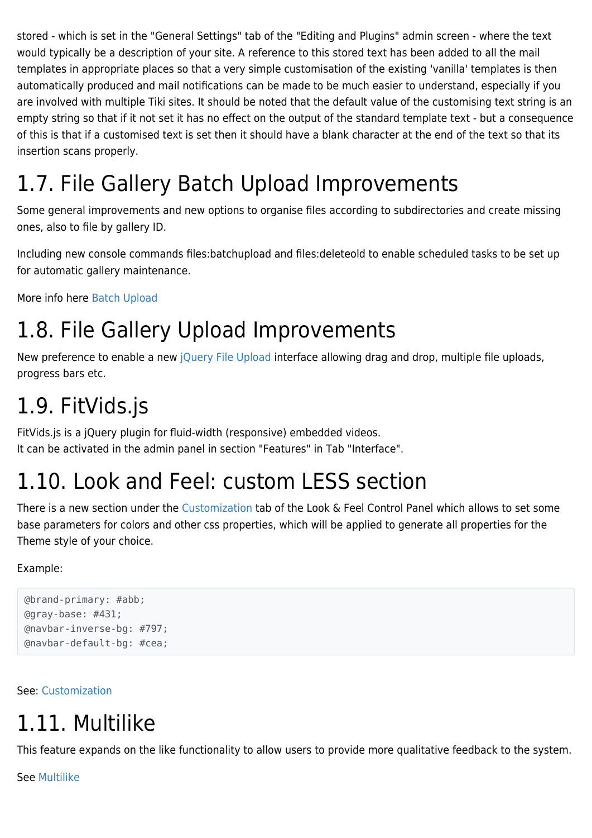stored - which is set in the "General Settings" tab of the "Editing and Plugins" admin screen - where the text would typically be a description of your site. A reference to this stored text has been added to all the mail templates in appropriate places so that a very simple customisation of the existing 'vanilla' templates is then automatically produced and mail notifications can be made to be much easier to understand, especially if you are involved with multiple Tiki sites. It should be noted that the default value of the customising text string is an empty string so that if it not set it has no effect on the output of the standard template text - but a consequence of this is that if a customised text is set then it should have a blank character at the end of the text so that its insertion scans properly.

## 1.7. File Gallery Batch Upload Improvements

Some general improvements and new options to organise files according to subdirectories and create missing ones, also to file by gallery ID.

Including new console commands files:batchupload and files:deleteold to enable scheduled tasks to be set up for automatic gallery maintenance.

More info here [Batch Upload](https://doc.tiki.org/Batch-Upload)

## 1.8. File Gallery Upload Improvements

New preference to enable a new [jQuery File Upload](https://blueimp.github.io/jQuery-File-Upload) interface allowing drag and drop, multiple file uploads, progress bars etc.

## 1.9. FitVids.js

FitVids.js is a jQuery plugin for fluid-width (responsive) embedded videos. It can be activated in the admin panel in section "Features" in Tab "Interface".

### 1.10. Look and Feel: custom LESS section

There is a new section under the [Customization](https://doc.tiki.org/Customization) tab of the Look & Feel Control Panel which allows to set some base parameters for colors and other css properties, which will be applied to generate all properties for the Theme style of your choice.

#### Example:

```
@brand-primary: #abb;
@gray-base: #431;
@navbar-inverse-bg: #797;
@navbar-default-bg: #cea;
```
#### See: [Customization](https://doc.tiki.org/Customization)

## 1.11. Multilike

This feature expands on the like functionality to allow users to provide more qualitative feedback to the system.

See [Multilike](https://doc.tiki.org/Multilike)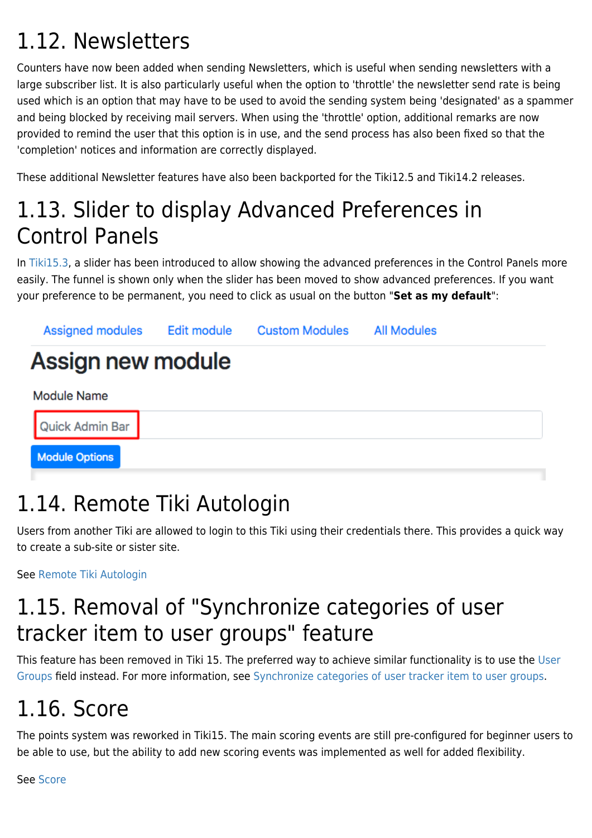## 1.12. Newsletters

Counters have now been added when sending Newsletters, which is useful when sending newsletters with a large subscriber list. It is also particularly useful when the option to 'throttle' the newsletter send rate is being used which is an option that may have to be used to avoid the sending system being 'designated' as a spammer and being blocked by receiving mail servers. When using the 'throttle' option, additional remarks are now provided to remind the user that this option is in use, and the send process has also been fixed so that the 'completion' notices and information are correctly displayed.

These additional Newsletter features have also been backported for the Tiki12.5 and Tiki14.2 releases.

## 1.13. Slider to display Advanced Preferences in Control Panels

In [Tiki15.3,](https://doc.tiki.org/Tiki15) a slider has been introduced to allow showing the advanced preferences in the Control Panels more easily. The funnel is shown only when the slider has been moved to show advanced preferences. If you want your preference to be permanent, you need to click as usual on the button "**Set as my default**":



## 1.14. Remote Tiki Autologin

Users from another Tiki are allowed to login to this Tiki using their credentials there. This provides a quick way to create a sub-site or sister site.

See [Remote Tiki Autologin](https://doc.tiki.org/Remote-Tiki-Autologin)

## 1.15. Removal of "Synchronize categories of user tracker item to user groups" feature

This feature has been removed in Tiki 15. The preferred way to achieve similar functionality is to use the [User](https://doc.tiki.org/User-Groups) [Groups](https://doc.tiki.org/User-Groups) field instead. For more information, see [Synchronize categories of user tracker item to user groups](https://doc.tiki.org/Synchronize-categories-of-user-tracker-item-to-user-groups).

## 1.16. Score

The points system was reworked in Tiki15. The main scoring events are still pre-configured for beginner users to be able to use, but the ability to add new scoring events was implemented as well for added flexibility.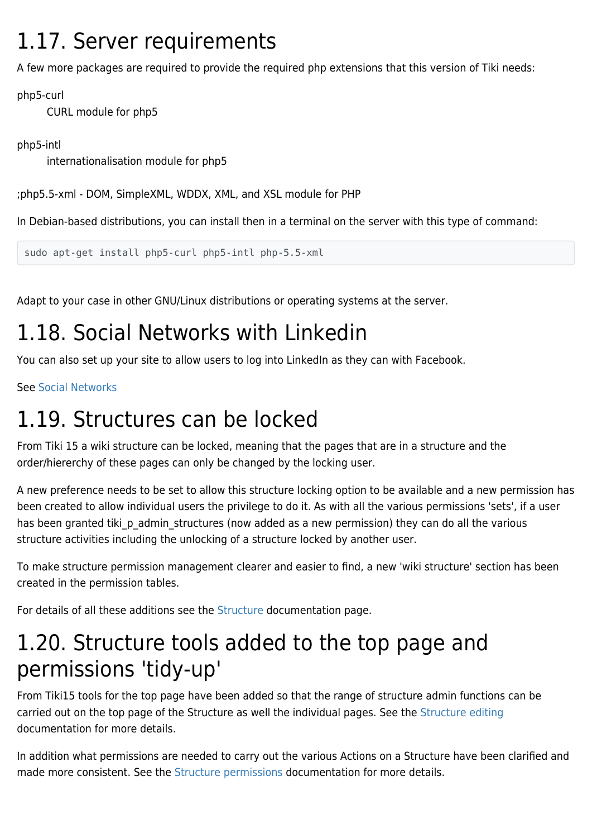### 1.17. Server requirements

A few more packages are required to provide the required php extensions that this version of Tiki needs:

php5-curl

CURL module for php5

php5-intl

internationalisation module for php5

;php5.5-xml - DOM, SimpleXML, WDDX, XML, and XSL module for PHP

In Debian-based distributions, you can install then in a terminal on the server with this type of command:

sudo apt-get install php5-curl php5-intl php-5.5-xml

Adapt to your case in other GNU/Linux distributions or operating systems at the server.

## 1.18. Social Networks with Linkedin

You can also set up your site to allow users to log into LinkedIn as they can with Facebook.

See [Social Networks](https://doc.tiki.org/Social-Networks)

### 1.19. Structures can be locked

From Tiki 15 a wiki structure can be locked, meaning that the pages that are in a structure and the order/hiererchy of these pages can only be changed by the locking user.

A new preference needs to be set to allow this structure locking option to be available and a new permission has been created to allow individual users the privilege to do it. As with all the various permissions 'sets', if a user has been granted tiki p admin structures (now added as a new permission) they can do all the various structure activities including the unlocking of a structure locked by another user.

To make structure permission management clearer and easier to find, a new 'wiki structure' section has been created in the permission tables.

For details of all these additions see the [Structure](https://doc.tiki.org/Structure-User) documentation page.

### 1.20. Structure tools added to the top page and permissions 'tidy-up'

From Tiki15 tools for the top page have been added so that the range of structure admin functions can be carried out on the top page of the Structure as well the individual pages. See the [Structure editing](https://doc.tiki.org/Structure+User#Editing_an_existing_structure) documentation for more details.

In addition what permissions are needed to carry out the various Actions on a Structure have been clarified and made more consistent. See the [Structure permissions](https://doc.tiki.org/Structure+User#Structure_permissions) documentation for more details.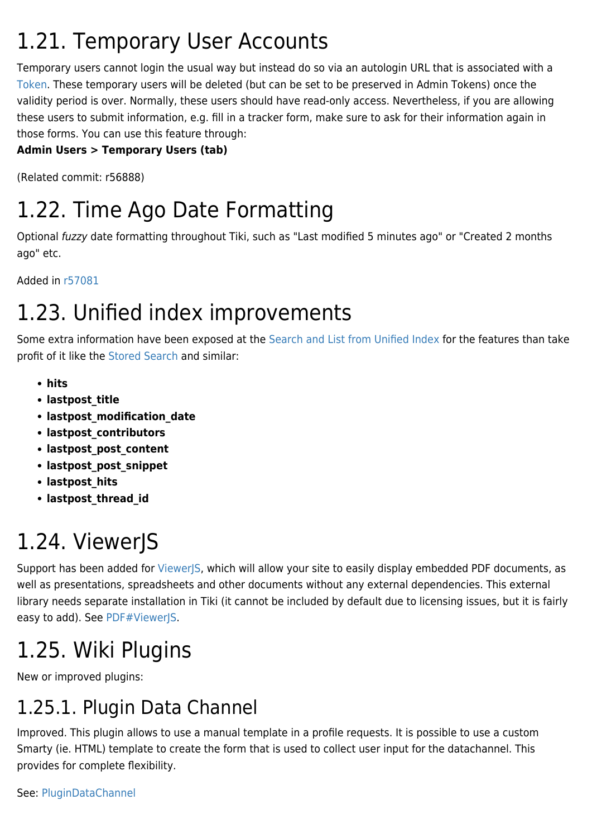## 1.21. Temporary User Accounts

Temporary users cannot login the usual way but instead do so via an autologin URL that is associated with a [Token](https://doc.tiki.org/Token). These temporary users will be deleted (but can be set to be preserved in Admin Tokens) once the validity period is over. Normally, these users should have read-only access. Nevertheless, if you are allowing these users to submit information, e.g. fill in a tracker form, make sure to ask for their information again in those forms. You can use this feature through:

#### **Admin Users > Temporary Users (tab)**

(Related commit: r56888)

## 1.22. Time Ago Date Formatting

Optional fuzzy date formatting throughout Tiki, such as "Last modified 5 minutes ago" or "Created 2 months ago" etc.

Added in [r57081](http://sourceforge.net/p/tikiwiki/code/57081)

## 1.23. Unified index improvements

Some extra information have been exposed at the [Search and List from Unified Index](https://doc.tiki.org/Search-and-List-from-Unified-Index) for the features than take profit of it like the [Stored Search](https://doc.tiki.org/Stored-Search) and similar:

- **hits**
- **lastpost\_title**
- **lastpost\_modification\_date**
- **lastpost\_contributors**
- **lastpost\_post\_content**
- **lastpost\_post\_snippet**
- **lastpost\_hits**
- **lastpost\_thread\_id**

## 1.24. ViewerJS

Support has been added for [ViewerJS,](http://viewerjs.org) which will allow your site to easily display embedded PDF documents, as well as presentations, spreadsheets and other documents without any external dependencies. This external library needs separate installation in Tiki (it cannot be included by default due to licensing issues, but it is fairly easy to add). See [PDF#ViewerJS.](https://doc.tiki.org/PDF#ViewerJS)

## 1.25. Wiki Plugins

New or improved plugins:

### 1.25.1. Plugin Data Channel

Improved. This plugin allows to use a manual template in a profile requests. It is possible to use a custom Smarty (ie. HTML) template to create the form that is used to collect user input for the datachannel. This provides for complete flexibility.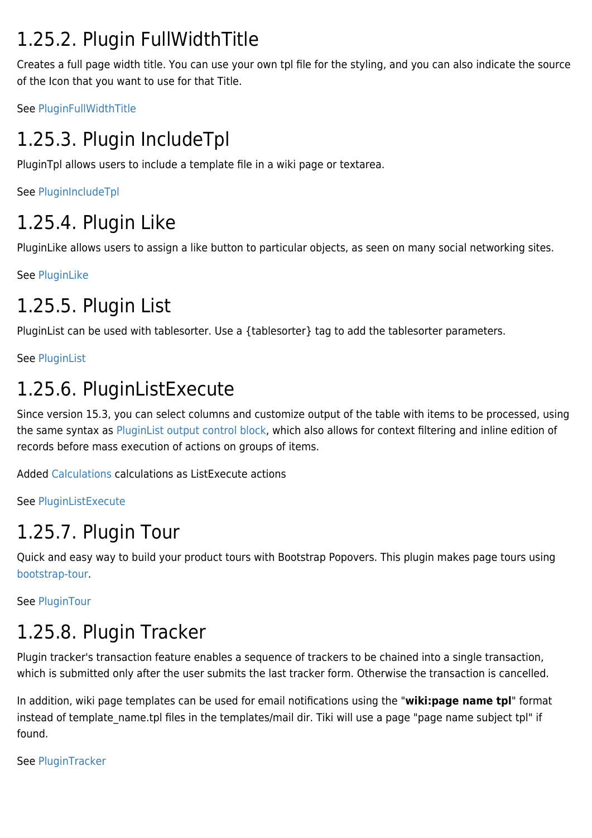### 1.25.2. Plugin FullWidthTitle

Creates a full page width title. You can use your own tpl file for the styling, and you can also indicate the source of the Icon that you want to use for that Title.

See [PluginFullWidthTitle](https://doc.tiki.org/PluginFullWidthTitle)

### 1.25.3. Plugin IncludeTpl

PluginTpl allows users to include a template file in a wiki page or textarea.

See [PluginIncludeTpl](https://doc.tiki.org/PluginIncludeTpl)

### 1.25.4. Plugin Like

PluginLike allows users to assign a like button to particular objects, as seen on many social networking sites.

See [PluginLike](https://doc.tiki.org/PluginLike)

### 1.25.5. Plugin List

PluginList can be used with tablesorter. Use a {tablesorter} tag to add the tablesorter parameters.

See [PluginList](https://doc.tiki.org/PluginList)

### 1.25.6. PluginListExecute

Since version 15.3, you can select columns and customize output of the table with items to be processed, using the same syntax as [PluginList output control block,](https://doc.tiki.org/PluginList-output-control-block) which also allows for context filtering and inline edition of records before mass execution of actions on groups of items.

Added [Calculations](https://doc.tiki.org/Calculations) calculations as ListExecute actions

See [PluginListExecute](https://doc.tiki.org/PluginListExecute)

### 1.25.7. Plugin Tour

Quick and easy way to build your product tours with Bootstrap Popovers. This plugin makes page tours using [bootstrap-tour.](http://bootstraptour.com/)

See [PluginTour](https://doc.tiki.org/PluginTour)

### 1.25.8. Plugin Tracker

Plugin tracker's transaction feature enables a sequence of trackers to be chained into a single transaction, which is submitted only after the user submits the last tracker form. Otherwise the transaction is cancelled.

In addition, wiki page templates can be used for email notifications using the "**wiki:page name tpl**" format instead of template name.tpl files in the templates/mail dir. Tiki will use a page "page name subject tpl" if found.

See [PluginTracker](https://doc.tiki.org/PluginTracker)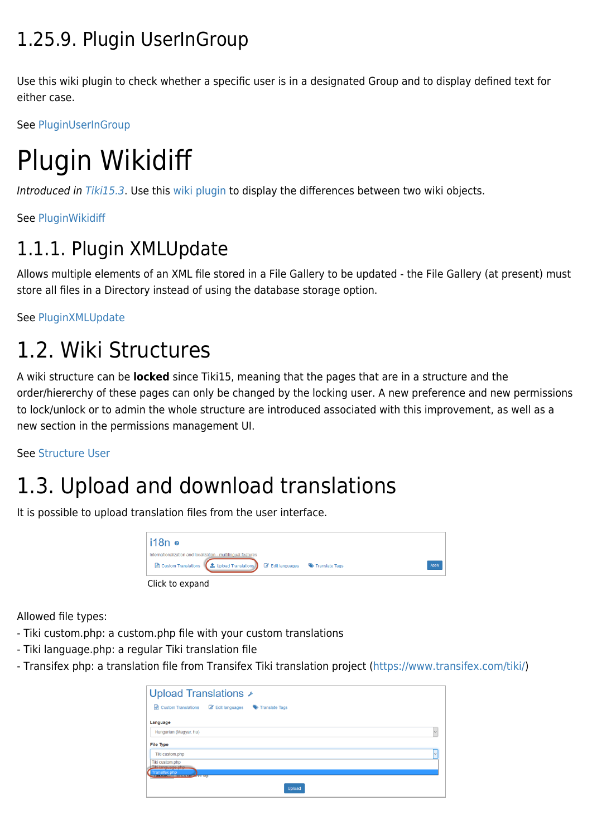### 1.25.9. Plugin UserInGroup

Use this wiki plugin to check whether a specific user is in a designated Group and to display defined text for either case.

See [PluginUserInGroup](https://doc.tiki.org/PluginUserInGroup)

# Plugin Wikidiff

Introduced in [Tiki15.3](https://doc.tiki.org/Tiki15). Use this [wiki plugin](https://doc.tiki.org/wiki%20plugin) to display the differences between two wiki objects.

See [PluginWikidiff](https://doc.tiki.org/PluginWikidiff)

### 1.1.1. Plugin XMLUpdate

Allows multiple elements of an XML file stored in a File Gallery to be updated - the File Gallery (at present) must store all files in a Directory instead of using the database storage option.

See [PluginXMLUpdate](https://doc.tiki.org/PluginXMLUpdate)

## 1.2. Wiki Structures

A wiki structure can be **locked** since Tiki15, meaning that the pages that are in a structure and the order/hiererchy of these pages can only be changed by the locking user. A new preference and new permissions to lock/unlock or to admin the whole structure are introduced associated with this improvement, as well as a new section in the permissions management UI.

See [Structure User](https://doc.tiki.org/Structure-User)

## 1.3. Upload and download translations

It is possible to upload translation files from the user interface.



Allowed file types:

- Tiki custom.php: a custom.php file with your custom translations
- Tiki language.php: a regular Tiki translation file
- Transifex php: a translation file from Transifex Tiki translation project [\(https://www.transifex.com/tiki/](https://www.transifex.com/tiki/))

| Upload Translations ⊁                                                                                |                                  |              |
|------------------------------------------------------------------------------------------------------|----------------------------------|--------------|
| <b>Custom Translations</b><br>क्रि                                                                   | Edit languages<br>Translate Tags |              |
| Language                                                                                             |                                  |              |
| Hungarian (Magyar, hu)                                                                               |                                  | $\checkmark$ |
| <b>File Type</b>                                                                                     |                                  |              |
| Tiki custom.php                                                                                      |                                  | $\checkmark$ |
| Tiki custom.php<br>Tiki language php.<br><b>Transifex php</b><br><b>THERMAN THERMAN AND THE TELL</b> |                                  |              |
|                                                                                                      | Upload                           |              |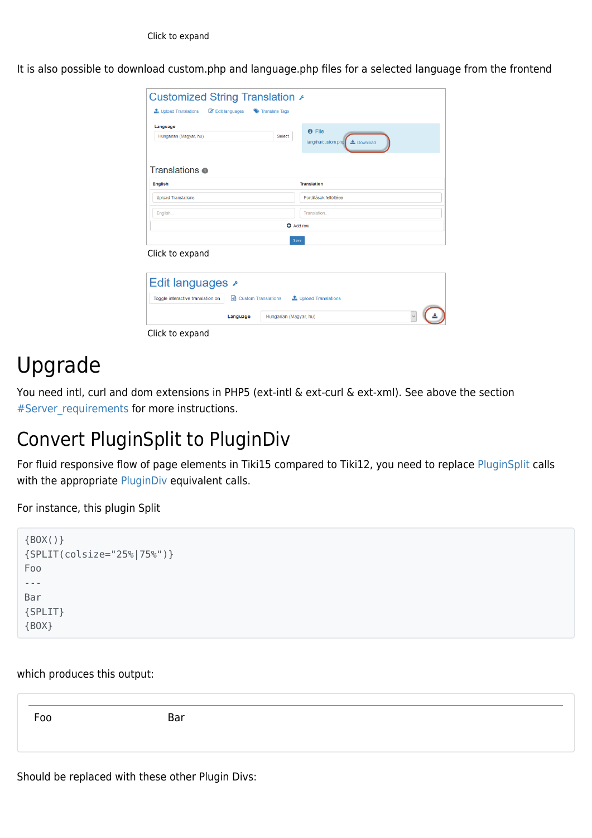It is also possible to download custom.php and language.php files for a selected language from the frontend

| Edit languages<br><b>1</b> Upload Translations               | Translate Tags                                           |
|--------------------------------------------------------------|----------------------------------------------------------|
| Language                                                     | <b>O</b> File                                            |
| Hungarian (Magyar, hu)                                       | <b>Select</b><br><b>L</b> Download<br>lang/hu/custom.php |
| Translations o                                               |                                                          |
| <b>English</b>                                               | <b>Translation</b>                                       |
| <b>Upload Translations</b>                                   | Fordítások feltöltése                                    |
| English                                                      | Translation                                              |
|                                                              | <b>O</b> Add row                                         |
|                                                              | Save                                                     |
| Click to expand                                              |                                                          |
|                                                              |                                                          |
| Edit languages ⊁                                             |                                                          |
| Toggle interactive translation on<br>(d) Custom Translations | <b>1</b> Upload Translations                             |
|                                                              |                                                          |

### Upgrade

You need intl, curl and dom extensions in PHP5 (ext-intl & ext-curl & ext-xml). See above the section #Server requirements for more instructions.

### Convert PluginSplit to PluginDiv

For fluid responsive flow of page elements in Tiki15 compared to Tiki12, you need to replace [PluginSplit](https://doc.tiki.org/PluginSplit) calls with the appropriate [PluginDiv](https://doc.tiki.org/PluginDiv) equivalent calls.

For instance, this plugin Split

```
{BOX()}
{SPLIT(colsize="25%|75%")}
Foo
---
Bar
{SPLIT}
{BOX}
```
which produces this output:

Foo Bar

Should be replaced with these other Plugin Divs: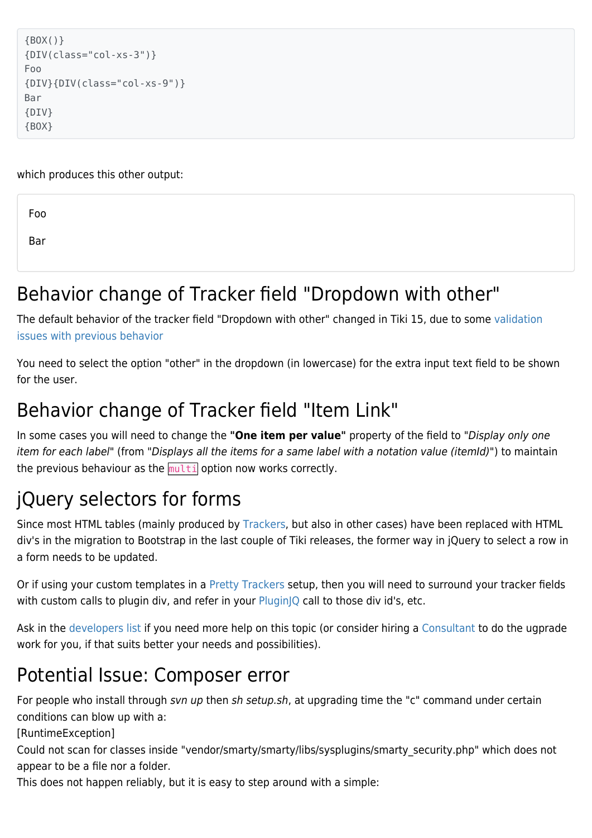```
{BOX()}
{DIV(class="col-xs-3")}
Foo
{DIV}{DIV(class="col-xs-9")}
Bar
{DIV}
{BOX}
```
which produces this other output:

Foo

Bar

### Behavior change of Tracker field "Dropdown with other"

The default behavior of the tracker field "Dropdown with other" changed in Tiki 15, due to some [validation](https://dev.tiki.org/item5610) [issues with previous behavior](https://dev.tiki.org/item5610)

You need to select the option "other" in the dropdown (in lowercase) for the extra input text field to be shown for the user.

### Behavior change of Tracker field "Item Link"

In some cases you will need to change the **"One item per value"** property of the field to "Display only one item for each label" (from "Displays all the items for a same label with a notation value (itemId)") to maintain the previous behaviour as the  $mu$ <sub>ti</sub> option now works correctly.

### jQuery selectors for forms

Since most HTML tables (mainly produced by [Trackers](https://doc.tiki.org/Trackers), but also in other cases) have been replaced with HTML div's in the migration to Bootstrap in the last couple of Tiki releases, the former way in jQuery to select a row in a form needs to be updated.

Or if using your custom templates in a [Pretty Trackers](https://doc.tiki.org/Pretty%20Trackers) setup, then you will need to surround your tracker fields with custom calls to plugin div, and refer in your [PluginJQ](https://doc.tiki.org/PluginJq) call to those div id's, etc.

Ask in the [developers list](http://tiki.org/Lists) if you need more help on this topic (or consider hiring a [Consultant](http://tiki.org/Consultants) to do the ugprade work for you, if that suits better your needs and possibilities).

### Potential Issue: Composer error

For people who install through svn up then sh setup.sh, at upgrading time the "c" command under certain conditions can blow up with a:

[RuntimeException]

Could not scan for classes inside "vendor/smarty/smarty/libs/sysplugins/smarty\_security.php" which does not appear to be a file nor a folder.

This does not happen reliably, but it is easy to step around with a simple: